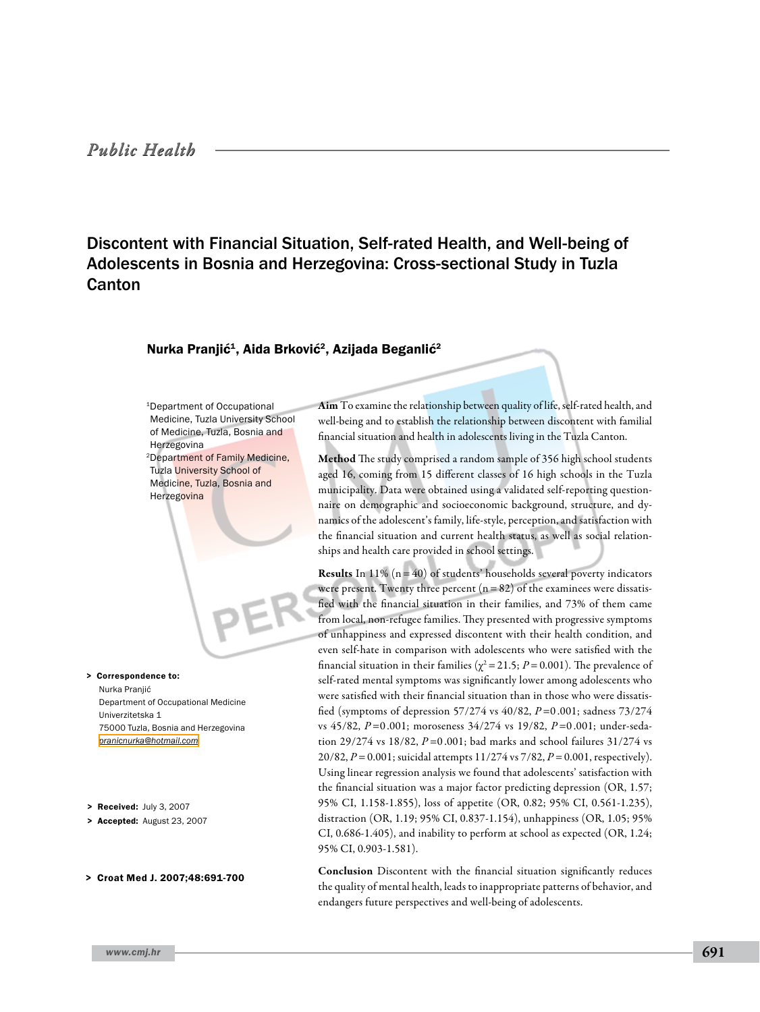# Discontent with Financial Situation, Self-rated Health, and Well-being of Adolescents in Bosnia and Herzegovina: Cross-sectional Study in Tuzla Canton

## Nurka Pranjić<sup>1</sup>, Aida Brković<sup>2</sup>, Azijada Beganlić<sup>2</sup>

1Department of Occupational Medicine, Tuzla University School of Medicine, Tuzla, Bosnia and Herzegovina 2Department of Family Medicine, Tuzla University School of Medicine, Tuzla, Bosnia and Herzegovina

> Correspondence to: Nurka Pranjić Department of Occupational Medicine Univerzitetska 1 75000 Tuzla, Bosnia and Herzegovina *[pranicnurka@hotmail.com](mailto: pranicnurka@hotmail.com )*

- > Received: July 3, 2007
- > Accepted: August 23, 2007
- > Croat Med J. 2007;48:691-700

Aim To examine the relationship between quality of life, self-rated health, and well-being and to establish the relationship between discontent with familial financial situation and health in adolescents living in the Tuzla Canton.

Method The study comprised a random sample of 356 high school students aged 16, coming from 15 different classes of 16 high schools in the Tuzla municipality. Data were obtained using a validated self-reporting questionnaire on demographic and socioeconomic background, structure, and dynamics of the adolescent's family, life-style, perception, and satisfaction with the financial situation and current health status, as well as social relationships and health care provided in school settings.

**Results** In 11%  $(n=40)$  of students' households several poverty indicators were present. Twenty three percent  $(n=82)$  of the examinees were dissatisfied with the financial situation in their families, and 73% of them came from local, non-refugee families. They presented with progressive symptoms of unhappiness and expressed discontent with their health condition, and even self-hate in comparison with adolescents who were satisfied with the financial situation in their families ( $\chi^2$  = 21.5; *P* = 0.001). The prevalence of self-rated mental symptoms was significantly lower among adolescents who were satisfied with their financial situation than in those who were dissatisfied (symptoms of depression 57/274 vs 40/82, *P*=0 .001; sadness 73/274 vs 45/82, *P*=0 .001; moroseness 34/274 vs 19/82, *P*=0 .001; under-sedation 29/274 vs 18/82, *P*=0 .001; bad marks and school failures 31/274 vs 20/82, *P*=0.001; suicidal attempts 11/274 vs 7/82, *P*=0.001, respectively). Using linear regression analysis we found that adolescents' satisfaction with the financial situation was a major factor predicting depression (OR, 1.57; 95% CI, 1.158-1.855), loss of appetite (OR, 0.82; 95% CI, 0.561-1.235), distraction (OR, 1.19; 95% CI, 0.837-1.154), unhappiness (OR, 1.05; 95% CI, 0.686-1.405), and inability to perform at school as expected (OR, 1.24; 95% CI, 0.903-1.581).

Conclusion Discontent with the financial situation significantly reduces the quality of mental health, leads to inappropriate patterns of behavior, and endangers future perspectives and well-being of adolescents.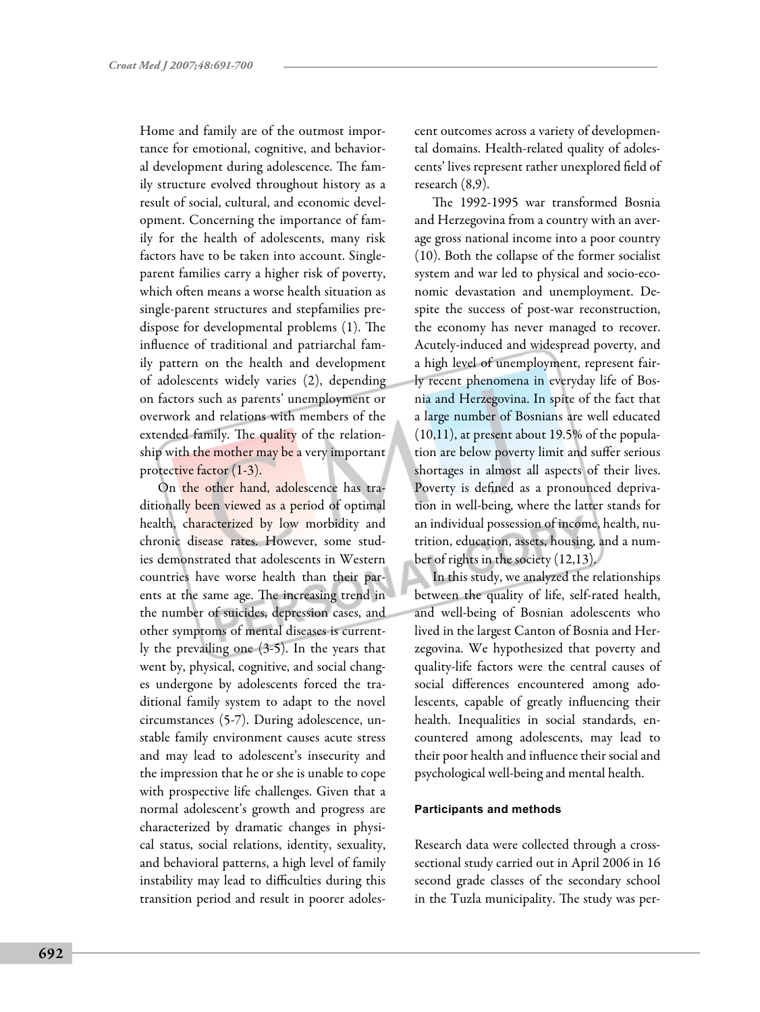Home and family are of the outmost importance for emotional, cognitive, and behavioral development during adolescence. The family structure evolved throughout history as a result of social, cultural, and economic development. Concerning the importance of family for the health of adolescents, many risk factors have to be taken into account. Singleparent families carry a higher risk of poverty, which often means a worse health situation as single-parent structures and stepfamilies predispose for developmental problems (1). The influence of traditional and patriarchal family pattern on the health and development of adolescents widely varies (2), depending on factors such as parents' unemployment or overwork and relations with members of the extended family. The quality of the relationship with the mother may be a very important protective factor (1-3).

On the other hand, adolescence has traditionally been viewed as a period of optimal health, characterized by low morbidity and chronic disease rates. However, some studies demonstrated that adolescents in Western countries have worse health than their parents at the same age. The increasing trend in the number of suicides, depression cases, and other symptoms of mental diseases is currently the prevailing one (3-5). In the years that went by, physical, cognitive, and social changes undergone by adolescents forced the traditional family system to adapt to the novel circumstances (5-7). During adolescence, unstable family environment causes acute stress and may lead to adolescent's insecurity and the impression that he or she is unable to cope with prospective life challenges. Given that a normal adolescent's growth and progress are characterized by dramatic changes in physical status, social relations, identity, sexuality, and behavioral patterns, a high level of family instability may lead to difficulties during this transition period and result in poorer adolescent outcomes across a variety of developmental domains. Health-related quality of adolescents' lives represent rather unexplored field of research (8,9).

The 1992-1995 war transformed Bosnia and Herzegovina from a country with an average gross national income into a poor country (10). Both the collapse of the former socialist system and war led to physical and socio-economic devastation and unemployment. Despite the success of post-war reconstruction, the economy has never managed to recover. Acutely-induced and widespread poverty, and a high level of unemployment, represent fairly recent phenomena in everyday life of Bosnia and Herzegovina. In spite of the fact that a large number of Bosnians are well educated (10,11), at present about 19.5% of the population are below poverty limit and suffer serious shortages in almost all aspects of their lives. Poverty is defined as a pronounced deprivation in well-being, where the latter stands for an individual possession of income, health, nutrition, education, assets, housing, and a number of rights in the society (12,13).

In this study, we analyzed the relationships between the quality of life, self-rated health, and well-being of Bosnian adolescents who lived in the largest Canton of Bosnia and Herzegovina. We hypothesized that poverty and quality-life factors were the central causes of social differences encountered among adolescents, capable of greatly influencing their health. Inequalities in social standards, encountered among adolescents, may lead to their poor health and influence their social and psychological well-being and mental health.

### **Participants and methods**

Research data were collected through a crosssectional study carried out in April 2006 in 16 second grade classes of the secondary school in the Tuzla municipality. The study was per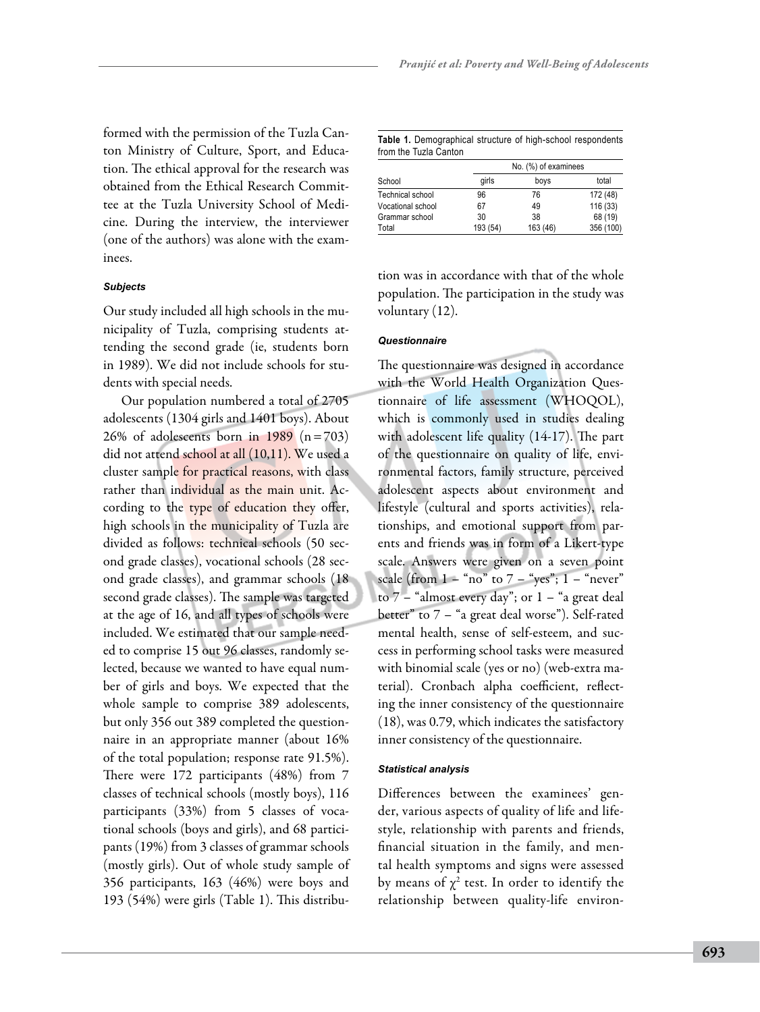formed with the permission of the Tuzla Canton Ministry of Culture, Sport, and Education. The ethical approval for the research was obtained from the Ethical Research Committee at the Tuzla University School of Medicine. During the interview, the interviewer (one of the authors) was alone with the examinees.

### *Subjects*

Our study included all high schools in the municipality of Tuzla, comprising students attending the second grade (ie, students born in 1989). We did not include schools for students with special needs.

Our population numbered a total of 2705 adolescents (1304 girls and 1401 boys). About 26% of adolescents born in 1989  $(n=703)$ did not attend school at all (10,11). We used a cluster sample for practical reasons, with class rather than individual as the main unit. According to the type of education they offer, high schools in the municipality of Tuzla are divided as follows: technical schools (50 second grade classes), vocational schools (28 second grade classes), and grammar schools (18 second grade classes). The sample was targeted at the age of 16, and all types of schools were included. We estimated that our sample needed to comprise 15 out 96 classes, randomly selected, because we wanted to have equal number of girls and boys. We expected that the whole sample to comprise 389 adolescents, but only 356 out 389 completed the questionnaire in an appropriate manner (about 16% of the total population; response rate 91.5%). There were 172 participants (48%) from 7 classes of technical schools (mostly boys), 116 participants (33%) from 5 classes of vocational schools (boys and girls), and 68 participants (19%) from 3 classes of grammar schools (mostly girls). Out of whole study sample of 356 participants, 163 (46%) were boys and 193 (54%) were girls (Table 1). This distribu-

| Table 1. Demographical structure of high-school respondents |  |  |
|-------------------------------------------------------------|--|--|
| from the Tuzla Canton                                       |  |  |

|                   |          | No. (%) of examinees |           |
|-------------------|----------|----------------------|-----------|
| School            | qirls    | boys                 | total     |
| Technical school  | 96       | 76                   | 172 (48)  |
| Vocational school | 67       | 49                   | 116 (33)  |
| Grammar school    | 30       | 38                   | 68 (19)   |
| Total             | 193 (54) | 163 (46)             | 356 (100) |

tion was in accordance with that of the whole population. The participation in the study was voluntary (12).

### *Questionnaire*

The questionnaire was designed in accordance with the World Health Organization Questionnaire of life assessment (WHOQOL), which is commonly used in studies dealing with adolescent life quality (14-17). The part of the questionnaire on quality of life, environmental factors, family structure, perceived adolescent aspects about environment and lifestyle (cultural and sports activities), relationships, and emotional support from parents and friends was in form of a Likert-type scale. Answers were given on a seven point scale (from  $1 - \text{``no''}$  to  $7 - \text{``yes''}; 1 - \text{``never''}$ to  $7$  – "almost every day"; or  $1$  – "a great deal better" to 7 – "a great deal worse"). Self-rated mental health, sense of self-esteem, and success in performing school tasks were measured with binomial scale (yes or no) (web-extra material). Cronbach alpha coefficient, reflecting the inner consistency of the questionnaire (18), was 0.79, which indicates the satisfactory inner consistency of the questionnaire.

### *Statistical analysis*

Differences between the examinees' gender, various aspects of quality of life and lifestyle, relationship with parents and friends, financial situation in the family, and mental health symptoms and signs were assessed by means of  $\chi^2$  test. In order to identify the relationship between quality-life environ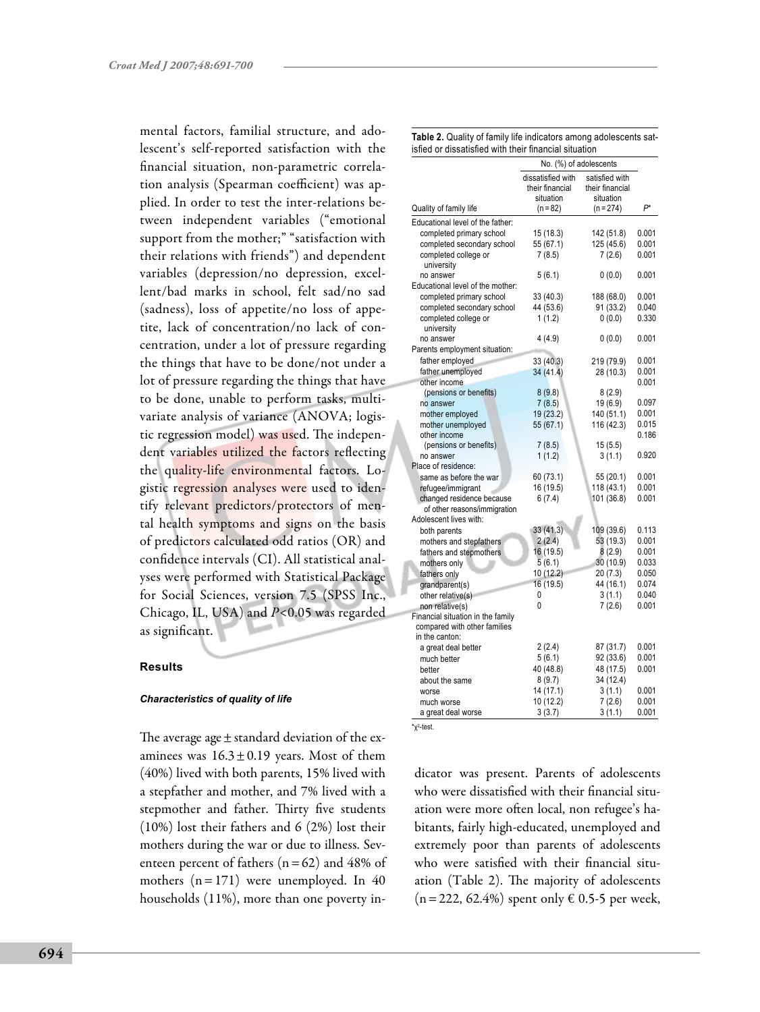mental factors, familial structure, and adolescent's self-reported satisfaction with the financial situation, non-parametric correlation analysis (Spearman coefficient) was applied. In order to test the inter-relations between independent variables ("emotional support from the mother;" "satisfaction with their relations with friends") and dependent variables (depression/no depression, excellent/bad marks in school, felt sad/no sad (sadness), loss of appetite/no loss of appetite, lack of concentration/no lack of concentration, under a lot of pressure regarding the things that have to be done/not under a lot of pressure regarding the things that have to be done, unable to perform tasks, multivariate analysis of variance (ANOVA; logistic regression model) was used. The independent variables utilized the factors reflecting the quality-life environmental factors. Logistic regression analyses were used to identify relevant predictors/protectors of mental health symptoms and signs on the basis of predictors calculated odd ratios (OR) and confidence intervals (CI). All statistical analyses were performed with Statistical Package for Social Sciences, version 7.5 (SPSS Inc., Chicago, IL, USA) and *P*<0.05 was regarded as significant.

# **Results**

### *Characteristics of quality of life*

The average age  $\pm$  standard deviation of the examinees was  $16.3 \pm 0.19$  years. Most of them (40%) lived with both parents, 15% lived with a stepfather and mother, and 7% lived with a stepmother and father. Thirty five students (10%) lost their fathers and 6 (2%) lost their mothers during the war or due to illness. Seventeen percent of fathers  $(n=62)$  and 48% of mothers  $(n=171)$  were unemployed. In 40 households (11%), more than one poverty in-

| Table 2. Quality of family life indicators among adolescents sat- |  |
|-------------------------------------------------------------------|--|
| isfied or dissatisfied with their financial situation             |  |

|                                        | No. (%) of adolescents                            |                                                |       |
|----------------------------------------|---------------------------------------------------|------------------------------------------------|-------|
|                                        | dissatisfied with<br>their financial<br>situation | satisfied with<br>their financial<br>situation |       |
| Quality of family life                 | $(n=82)$                                          | $(n = 274)$                                    | $P^*$ |
| Educational level of the father:       |                                                   |                                                |       |
| completed primary school               | 15(18.3)                                          | 142 (51.8)                                     | 0.001 |
| completed secondary school             | 55 (67.1)                                         | 125 (45.6)                                     | 0.001 |
| completed college or                   | 7(8.5)                                            | 7(2.6)                                         | 0.001 |
| university                             |                                                   |                                                |       |
| no answer                              | 5(6.1)                                            | (0.0)                                          | 0.001 |
| Educational level of the mother:       |                                                   |                                                |       |
| completed primary school               | 33 (40.3)                                         | 188 (68.0)                                     | 0.001 |
| completed secondary school             | 44 (53.6)                                         | 91 (33.2)                                      | 0.040 |
| completed college or                   | 1(1.2)                                            | (0.0)                                          | 0.330 |
| university                             |                                                   |                                                |       |
| no answer                              | 4(4.9)                                            | 0(0.0)                                         | 0.001 |
| Parents employment situation:          |                                                   |                                                |       |
| father employed                        | 33 (40.3)                                         | 219 (79.9)                                     | 0.001 |
| father unemployed                      | 34 (41.4)                                         | 28 (10.3)                                      | 0.001 |
| other income                           |                                                   |                                                | 0.001 |
| (pensions or benefits)                 | 8(9.8)                                            | 8(2.9)                                         |       |
| no answer                              | 7(8.5)                                            | 19 (6.9)                                       | 0.097 |
| mother employed                        | 19 (23.2)                                         | 140 (51.1)                                     | 0.001 |
| mother unemployed                      | 55 (67.1)                                         | 116 (42.3)                                     | 0.015 |
| other income<br>(pensions or benefits) | 7(8.5)                                            | 15(5.5)                                        | 0.186 |
| no answer                              | 1(1.2)                                            | 3(1.1)                                         | 0.920 |
| Place of residence:                    |                                                   |                                                |       |
| same as before the war                 | 60 (73.1)                                         | 55 (20.1)                                      | 0.001 |
| refugee/immigrant                      | 16 (19.5)                                         | 118 (43.1)                                     | 0.001 |
| changed residence because              | 6(7.4)                                            | 101 (36.8)                                     | 0.001 |
| of other reasons/immigration           |                                                   |                                                |       |
| Adolescent lives with:                 |                                                   |                                                |       |
| both parents                           | 33 (41.3)                                         | 109 (39.6)                                     | 0.113 |
| mothers and stepfathers                | 2(2.4)                                            | 53 (19.3)                                      | 0.001 |
| fathers and stepmothers                | 16 (19.5)                                         | 8(2.9)                                         | 0.001 |
| mothers only                           | 5(6.1)                                            | 30 (10.9)                                      | 0.033 |
| fathers only                           | 10 (12.2)                                         | 20(7.3)                                        | 0.050 |
| grandparent(s)                         | 16 (19.5)                                         | 44 (16.1)                                      | 0.074 |
| other relative(s)                      | 0                                                 | 3(1.1)                                         | 0.040 |
| non relative(s)                        | 0                                                 | 7(2.6)                                         | 0.001 |
| Financial situation in the family      |                                                   |                                                |       |
| compared with other families           |                                                   |                                                |       |
| in the canton:                         |                                                   |                                                |       |
| a great deal better                    | 2(2.4)                                            | 87 (31.7)                                      | 0.001 |
| much better                            | 5(6.1)                                            | 92 (33.6)                                      | 0.001 |
| better                                 | 40 (48.8)                                         | 48 (17.5)                                      | 0.001 |
| about the same                         | 8(9.7)                                            | 34 (12.4)                                      |       |
| worse                                  | 14 (17.1)                                         | 3(1.1)                                         | 0.001 |
| much worse                             | 10 (12.2)                                         | 7(2.6)                                         | 0.001 |
| a great deal worse                     | 3(3.7)                                            | 3(1.1)                                         | 0.001 |

 $x^2$ -test.

dicator was present. Parents of adolescents who were dissatisfied with their financial situation were more often local, non refugee's habitants, fairly high-educated, unemployed and extremely poor than parents of adolescents who were satisfied with their financial situation (Table 2). The majority of adolescents  $(n=222, 62.4%)$  spent only € 0.5-5 per week,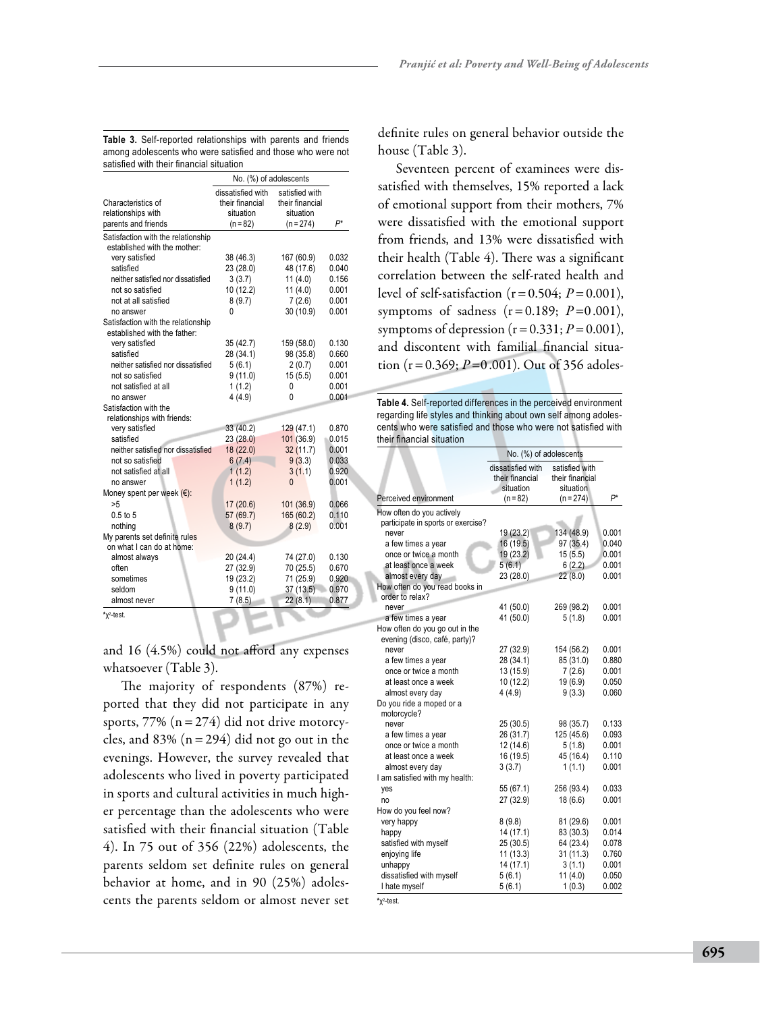|                                          | No. (%) of adolescents                            |                                                |                |
|------------------------------------------|---------------------------------------------------|------------------------------------------------|----------------|
| Characteristics of<br>relationships with | dissatisfied with<br>their financial<br>situation | satisfied with<br>their financial<br>situation |                |
| parents and friends                      | $(n = 82)$                                        | $(n = 274)$                                    | P*             |
| Satisfaction with the relationship       |                                                   |                                                |                |
| established with the mother:             |                                                   |                                                |                |
| very satisfied                           | 38 (46.3)                                         | 167 (60.9)                                     | 0.032          |
| satisfied                                | 23 (28.0)                                         | 48 (17.6)                                      | 0.040          |
| neither satisfied nor dissatisfied       | 3(3.7)                                            | 11(4.0)                                        | 0.156          |
| not so satisfied                         | 10 (12.2)                                         | 11 $(4.0)$                                     | 0.001          |
| not at all satisfied                     | 8(9.7)                                            | 7(2.6)                                         | 0.001          |
| no answer                                | 0                                                 | 30 (10.9)                                      | 0.001          |
| Satisfaction with the relationship       |                                                   |                                                |                |
| established with the father:             |                                                   |                                                |                |
| very satisfied                           | 35 (42.7)                                         | 159 (58.0)                                     | 0.130          |
| satisfied                                | 28 (34.1)                                         | 98 (35.8)                                      | 0.660          |
| neither satisfied nor dissatisfied       | 5(6.1)                                            | 2(0.7)                                         | 0.001          |
| not so satisfied                         | 9(11.0)                                           | 15(5.5)                                        | 0.001          |
| not satisfied at all                     | 1(1.2)                                            | 0                                              | 0.001          |
| no answer                                | 4(4.9)                                            | 0                                              | 0.001          |
| Satisfaction with the                    |                                                   |                                                |                |
| relationships with friends:              |                                                   |                                                |                |
| very satisfied<br>satisfied              | 33 (40.2)                                         | 129 (47.1)                                     | 0.870<br>0.015 |
| neither satisfied nor dissatisfied       | 23 (28.0)                                         | 101 (36.9)                                     | 0.001          |
|                                          | 18 (22.0)                                         | 32 (11.7)                                      |                |
| not so satisfied                         | 6(7.4)                                            | 9(3.3)                                         | 0.033          |
| not satisfied at all                     | 1(1.2)                                            | 3(1.1)                                         | 0.920          |
| no answer                                | 1(1.2)                                            | 0                                              | 0.001          |
| Money spent per week $(\epsilon)$ :      |                                                   |                                                |                |
| >5                                       | 17 (20.6)                                         | 101 (36.9)                                     | 0.066          |
| $0.5$ to $5$                             | 57 (69.7)                                         | 165 (60.2)                                     | 0.110          |
| nothing<br>My parents set definite rules | 8(9.7)                                            | 8(2.9)                                         | 0.001          |
| on what I can do at home:                |                                                   |                                                |                |
| almost always                            | 20 (24.4)                                         | 74 (27.0)                                      | 0.130          |
| often                                    | 27 (32.9)                                         | 70 (25.5)                                      | 0.670          |
| sometimes                                | 19 (23.2)                                         | 71 (25.9)                                      | 0.920          |
| seldom                                   | 9(11.0)                                           | 37(13.5)                                       | 0.970          |
| almost never                             | 7(8.5)                                            | 22(8.1)                                        | 0.877          |
|                                          |                                                   |                                                |                |

**\***χ<sup>2</sup> -test.

and 16 (4.5%) could not afford any expenses whatsoever (Table 3).

The majority of respondents (87%) reported that they did not participate in any sports,  $77\%$  ( $n=274$ ) did not drive motorcycles, and  $83\%$  (n = 294) did not go out in the evenings. However, the survey revealed that adolescents who lived in poverty participated in sports and cultural activities in much higher percentage than the adolescents who were satisfied with their financial situation (Table 4). In 75 out of 356 (22%) adolescents, the parents seldom set definite rules on general behavior at home, and in 90 (25%) adolescents the parents seldom or almost never set definite rules on general behavior outside the house (Table 3).

*Pranjić et al: Poverty and Well-Being of Adolescents*

Seventeen percent of examinees were dissatisfied with themselves, 15% reported a lack of emotional support from their mothers, 7% were dissatisfied with the emotional support from friends, and 13% were dissatisfied with their health (Table 4). There was a significant correlation between the self-rated health and level of self-satisfaction  $(r=0.504; P=0.001)$ , symptoms of sadness  $(r=0.189; P=0.001)$ , symptoms of depression  $(r=0.331; P=0.001)$ , and discontent with familial financial situation ( $r = 0.369$ ;  $P = 0.001$ ). Out of 356 adoles-

**Table 4.** Self-reported differences in the perceived environment regarding life styles and thinking about own self among adolescents who were satisfied and those who were not satisfied with their financial situation

|                                    | No. (%) of adolescents                            |                                                |       |
|------------------------------------|---------------------------------------------------|------------------------------------------------|-------|
|                                    | dissatisfied with<br>their financial<br>situation | satisfied with<br>their financial<br>situation |       |
| Perceived environment              | $(n = 82)$                                        | $(n = 274)$                                    | P*    |
| How often do you actively          |                                                   |                                                |       |
| participate in sports or exercise? |                                                   |                                                |       |
| never                              | 19 (23.2)                                         | 134 (48.9)                                     | 0.001 |
| a few times a year                 | 16 (19.5)                                         | 97 (35.4)                                      | 0.040 |
| once or twice a month              | 19 (23.2)                                         | 15(5.5)                                        | 0.001 |
| at least once a week               | 5(6.1)                                            | 6(2.2)                                         | 0.001 |
| almost every day                   | 23 (28.0)                                         | 22(8.0)                                        | 0.001 |
| How often do you read books in     |                                                   |                                                |       |
| order to relax?                    |                                                   |                                                |       |
| never                              | 41 (50.0)                                         | 269 (98.2)                                     | 0.001 |
| a few times a year                 | 41 (50.0)                                         | 5(1.8)                                         | 0.001 |
| How often do you go out in the     |                                                   |                                                |       |
| evening (disco, café, party)?      |                                                   |                                                |       |
| never                              | 27 (32.9)                                         | 154 (56.2)                                     | 0.001 |
| a few times a year                 | 28 (34.1)                                         | 85 (31.0)                                      | 0.880 |
| once or twice a month              | 13 (15.9)                                         | 7(2.6)                                         | 0.001 |
| at least once a week               | 10 (12.2)                                         | 19(6.9)                                        | 0.050 |
| almost every day                   | 4(4.9)                                            | 9(3.3)                                         | 0.060 |
| Do you ride a moped or a           |                                                   |                                                |       |
| motorcycle?                        |                                                   |                                                |       |
| never                              | 25(30.5)                                          | 98 (35.7)                                      | 0.133 |
| a few times a year                 | 26 (31.7)                                         | 125 (45.6)                                     | 0.093 |
| once or twice a month              | 12 (14.6)                                         | 5(1.8)                                         | 0.001 |
| at least once a week               | 16 (19.5)                                         | 45 (16.4)                                      | 0.110 |
| almost every day                   | 3(3.7)                                            | 1(1.1)                                         | 0.001 |
| I am satisfied with my health:     |                                                   |                                                |       |
| yes                                | 55 (67.1)                                         | 256 (93.4)                                     | 0.033 |
| no                                 | 27 (32.9)                                         | 18(6.6)                                        | 0.001 |
| How do you feel now?               |                                                   |                                                |       |
| very happy                         | 8(9.8)                                            | 81 (29.6)                                      | 0.001 |
| happy                              | 14 (17.1)                                         | 83 (30.3)                                      | 0.014 |
| satisfied with myself              | 25(30.5)                                          | 64 (23.4)                                      | 0.078 |
| enjoying life                      | 11(13.3)                                          | 31(11.3)                                       | 0.760 |
| unhappy                            | 14 (17.1)                                         | 3(1.1)                                         | 0.001 |
| dissatisfied with myself           | 5(6.1)                                            | 11(4.0)                                        | 0.050 |
| I hate myself                      | 5(6.1)                                            | 1(0.3)                                         | 0.002 |

**\***χ<sup>2</sup> -test.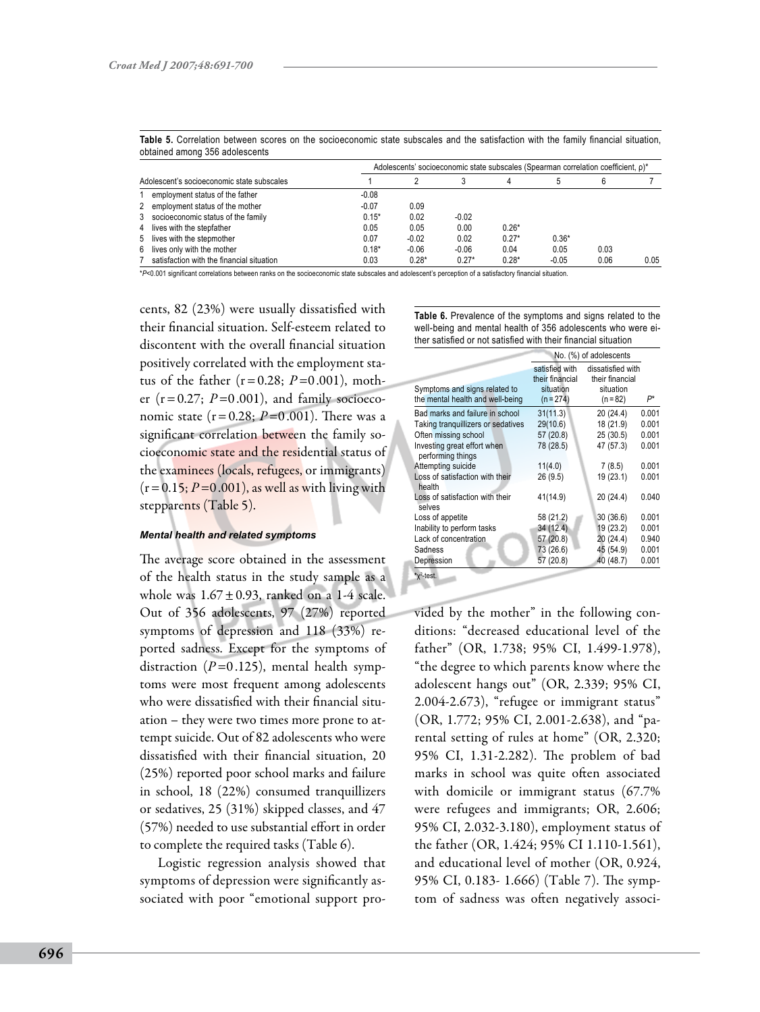|                                            |                                           |         |         |         |         | Adolescents' socioeconomic state subscales (Spearman correlation coefficient, p)* |      |      |
|--------------------------------------------|-------------------------------------------|---------|---------|---------|---------|-----------------------------------------------------------------------------------|------|------|
| Adolescent's socioeconomic state subscales |                                           |         |         |         |         |                                                                                   |      |      |
|                                            | employment status of the father           | $-0.08$ |         |         |         |                                                                                   |      |      |
|                                            | employment status of the mother           | $-0.07$ | 0.09    |         |         |                                                                                   |      |      |
|                                            | socioeconomic status of the family        | $0.15*$ | 0.02    | $-0.02$ |         |                                                                                   |      |      |
|                                            | lives with the stepfather                 | 0.05    | 0.05    | 0.00    | $0.26*$ |                                                                                   |      |      |
| 5                                          | lives with the stepmother                 | 0.07    | $-0.02$ | 0.02    | $0.27*$ | $0.36*$                                                                           |      |      |
| 6                                          | lives only with the mother                | $0.18*$ | $-0.06$ | $-0.06$ | 0.04    | 0.05                                                                              | 0.03 |      |
|                                            | satisfaction with the financial situation | 0.03    | $0.28*$ | $0.27*$ | $0.28*$ | $-0.05$                                                                           | 0.06 | 0.05 |

Table 5. Correlation between scores on the socioeconomic state subscales and the satisfaction with the family financial situation, obtained among 356 adolescents

\**P*<0.001 significant correlations between ranks on the socioeconomic state subscales and adolescent's perception of a satisfactory financial situation.

cents, 82 (23%) were usually dissatisfied with their financial situation. Self-esteem related to discontent with the overall financial situation positively correlated with the employment status of the father  $(r=0.28; P=0.001)$ , mother  $(r=0.27; P=0.001)$ , and family socioeconomic state  $(r = 0.28; P = 0.001)$ . There was a significant correlation between the family socioeconomic state and the residential status of the examinees (locals, refugees, or immigrants)  $(r=0.15; P=0.001)$ , as well as with living with stepparents (Table 5).

### *Mental health and related symptoms*

The average score obtained in the assessment of the health status in the study sample as a whole was  $1.67 \pm 0.93$ , ranked on a 1-4 scale. Out of 356 adolescents, 97 (27%) reported symptoms of depression and 118 (33%) reported sadness. Except for the symptoms of distraction  $(P=0.125)$ , mental health symptoms were most frequent among adolescents who were dissatisfied with their financial situation – they were two times more prone to attempt suicide. Out of 82 adolescents who were dissatisfied with their financial situation, 20 (25%) reported poor school marks and failure in school, 18 (22%) consumed tranquillizers or sedatives, 25 (31%) skipped classes, and 47 (57%) needed to use substantial effort in order to complete the required tasks (Table 6).

Logistic regression analysis showed that symptoms of depression were significantly associated with poor "emotional support pro**Table 6.** Prevalence of the symptoms and signs related to the well-being and mental health of 356 adolescents who were either satisfied or not satisfied with their financial situation

|                                                                   | No. (%) of adolescents                                        |                                                               |       |
|-------------------------------------------------------------------|---------------------------------------------------------------|---------------------------------------------------------------|-------|
| Symptoms and signs related to<br>the mental health and well-being | satisfied with<br>their financial<br>situation<br>$(n = 274)$ | dissatisfied with<br>their financial<br>situation<br>(n = 82) | $P^*$ |
| Bad marks and failure in school                                   | 31(11.3)                                                      | 20 (24.4)                                                     | 0.001 |
| Taking tranquillizers or sedatives                                | 29(10.6)                                                      | 18 (21.9)                                                     | 0.001 |
| Often missing school                                              | 57 (20.8)                                                     | 25(30.5)                                                      | 0.001 |
| Investing great effort when<br>performing things                  | 78 (28.5)                                                     | 47 (57.3)                                                     | 0.001 |
| Attempting suicide                                                | 11(4.0)                                                       | 7(8.5)                                                        | 0.001 |
| Loss of satisfaction with their<br>health                         | 26 (9.5)                                                      | 19 (23.1)                                                     | 0.001 |
| Loss of satisfaction with their<br>selves                         | 41(14.9)                                                      | 20 (24.4)                                                     | 0.040 |
| Loss of appetite                                                  | 58 (21.2)                                                     | 30(36.6)                                                      | 0.001 |
| Inability to perform tasks                                        | 34 (12.4)                                                     | 19 (23.2)                                                     | 0.001 |
| Lack of concentration                                             | 57 (20.8)                                                     | 20(24.4)                                                      | 0.940 |
| Sadness                                                           | 73 (26.6)                                                     | 45 (54.9)                                                     | 0.001 |
| Depression                                                        | 57 (20.8)                                                     | 40 (48.7)                                                     | 0.001 |

**\***χ<sup>2</sup> -test.

vided by the mother" in the following conditions: "decreased educational level of the father" (OR, 1.738; 95% CI, 1.499-1.978), "the degree to which parents know where the adolescent hangs out" (OR, 2.339; 95% CI, 2.004-2.673), "refugee or immigrant status" (OR, 1.772; 95% CI, 2.001-2.638), and "parental setting of rules at home" (OR, 2.320; 95% CI, 1.31-2.282). The problem of bad marks in school was quite often associated with domicile or immigrant status (67.7% were refugees and immigrants; OR, 2.606; 95% CI, 2.032-3.180), employment status of the father (OR, 1.424; 95% CI 1.110-1.561), and educational level of mother (OR, 0.924, 95% CI, 0.183- 1.666) (Table 7). The symptom of sadness was often negatively associ-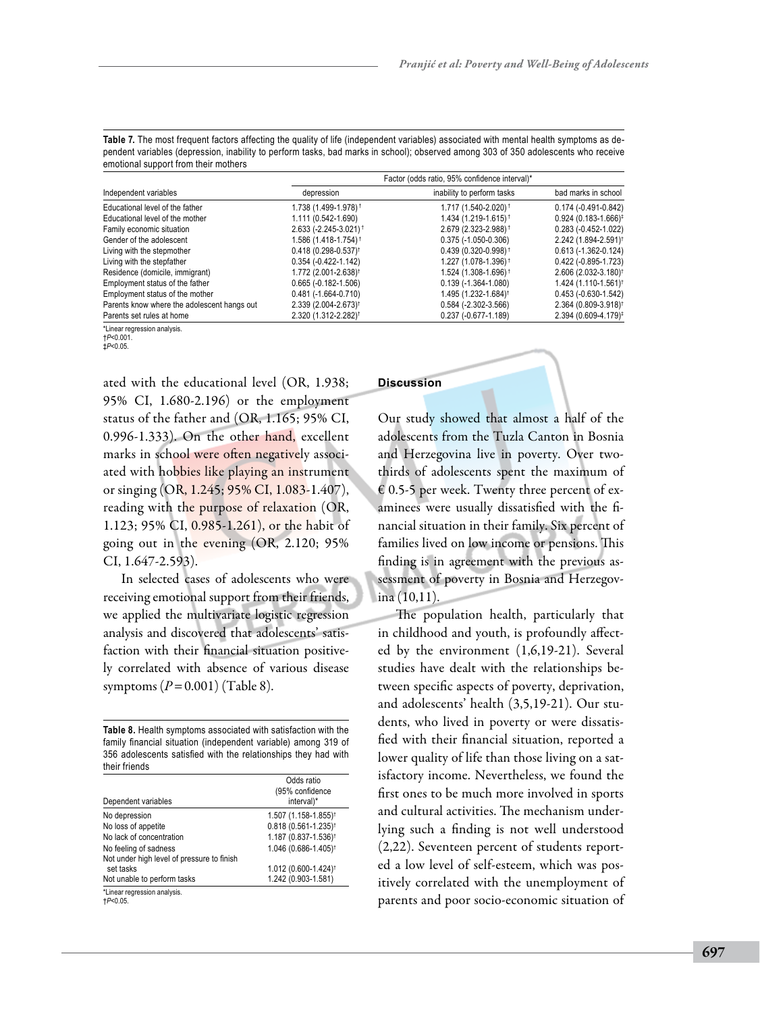| Table 7. The most frequent factors affecting the quality of life (independent variables) associated with mental health symptoms as de- |
|----------------------------------------------------------------------------------------------------------------------------------------|
| pendent variables (depression, inability to perform tasks, bad marks in school); observed among 303 of 350 adolescents who receive     |
| emotional support from their mothers                                                                                                   |
|                                                                                                                                        |

|                                             | Factor (odds ratio, 95% confidence interval)* |                                   |                                   |  |
|---------------------------------------------|-----------------------------------------------|-----------------------------------|-----------------------------------|--|
| Independent variables                       | depression                                    | inability to perform tasks        | bad marks in school               |  |
| Educational level of the father             | 1.738 (1.499-1.978) <sup>†</sup>              | 1.717 (1.540-2.020) <sup>†</sup>  | $0.174(-0.491-0.842)$             |  |
| Educational level of the mother             | 1.111 (0.542-1.690)                           | $1.434(1.219-1.615)^{\dagger}$    | $0.924(0.183 - 1.666)^{\ddagger}$ |  |
| Family economic situation                   | 2.633 (-2.245-3.021) <sup>+</sup>             | 2.679 (2.323-2.988) <sup>†</sup>  | $0.283 (-0.452 - 1.022)$          |  |
| Gender of the adolescent                    | $1.586(1.418-1.754)$ <sup>†</sup>             | $0.375(-1.050-0.306)$             | 2.242 (1.894-2.591) <sup>†</sup>  |  |
| Living with the stepmother                  | $0.418(0.298-0.537)$ <sup>†</sup>             | $0.439(0.320-0.998)$ <sup>†</sup> | $0.613(-1.362-0.124)$             |  |
| Living with the stepfather                  | $0.354(-0.422 - 1.142)$                       | 1.227 (1.078-1.396) <sup>†</sup>  | $0.422(-0.895-1.723)$             |  |
| Residence (domicile, immigrant)             | 1.772 (2.001-2.638) <sup>†</sup>              | 1.524 (1.308-1.696)†              | 2.606 (2.032-3.180) <sup>†</sup>  |  |
| Employment status of the father             | $0.665 (-0.182 - 1.506)$                      | $0.139(-1.364-1.080)$             | 1.424 (1.110-1.561) <sup>†</sup>  |  |
| Employment status of the mother             | $0.481(-1.664-0.710)$                         | 1.495 (1.232-1.684) <sup>†</sup>  | $0.453(-0.630-1.542)$             |  |
| Parents know where the adolescent hangs out | 2.339 (2.004-2.673) <sup>†</sup>              | $0.584$ (-2.302-3.566)            | 2.364 (0.809-3.918) <sup>†</sup>  |  |
| Parents set rules at home                   | 2.320 (1.312-2.282) <sup>†</sup>              | $0.237 (-0.677 - 1.189)$          | $2.394(0.609 - 4.179)^{\ddagger}$ |  |

\*Linear regression analysis. †*P*<0.001.

‡*P*<0.05.

ated with the educational level (OR, 1.938; 95% CI, 1.680-2.196) or the employment status of the father and (OR, 1.165; 95% CI, 0.996-1.333). On the other hand, excellent marks in school were often negatively associated with hobbies like playing an instrument or singing (OR, 1.245; 95% CI, 1.083-1.407), reading with the purpose of relaxation (OR, 1.123; 95% CI, 0.985-1.261), or the habit of going out in the evening (OR, 2.120; 95% CI, 1.647-2.593).

In selected cases of adolescents who were receiving emotional support from their friends, we applied the multivariate logistic regression analysis and discovered that adolescents' satisfaction with their financial situation positively correlated with absence of various disease symptoms (*P*=0.001) (Table 8).

**Table 8.** Health symptoms associated with satisfaction with the family financial situation (independent variable) among 319 of 356 adolescents satisfied with the relationships they had with their friends

| Dependent variables                                                 | Odds ratio<br>(95% confidence<br>interval)* |
|---------------------------------------------------------------------|---------------------------------------------|
| No depression                                                       | 1.507 (1.158-1.855) <sup>†</sup>            |
| No loss of appetite                                                 | 0.818 (0.561-1.235) <sup>t</sup>            |
| No lack of concentration                                            | 1.187 (0.837-1.536) <sup>†</sup>            |
| No feeling of sadness<br>Not under high level of pressure to finish | 1.046 (0.686-1.405) <sup>†</sup>            |
| set tasks                                                           | 1.012 (0.600-1.424) <sup>†</sup>            |
| Not unable to perform tasks                                         | 1.242 (0.903-1.581)                         |
| *Linear regression analysis.<br>$+P<0.05$ .                         |                                             |

# **Discussion**

Our study showed that almost a half of the adolescents from the Tuzla Canton in Bosnia and Herzegovina live in poverty. Over twothirds of adolescents spent the maximum of  $\epsilon$  0.5-5 per week. Twenty three percent of examinees were usually dissatisfied with the financial situation in their family. Six percent of families lived on low income or pensions. This finding is in agreement with the previous assessment of poverty in Bosnia and Herzegovina (10,11).

The population health, particularly that in childhood and youth, is profoundly affected by the environment (1,6,19-21). Several studies have dealt with the relationships between specific aspects of poverty, deprivation, and adolescents' health (3,5,19-21). Our students, who lived in poverty or were dissatisfied with their financial situation, reported a lower quality of life than those living on a satisfactory income. Nevertheless, we found the first ones to be much more involved in sports and cultural activities. The mechanism underlying such a finding is not well understood (2,22). Seventeen percent of students reported a low level of self-esteem, which was positively correlated with the unemployment of parents and poor socio-economic situation of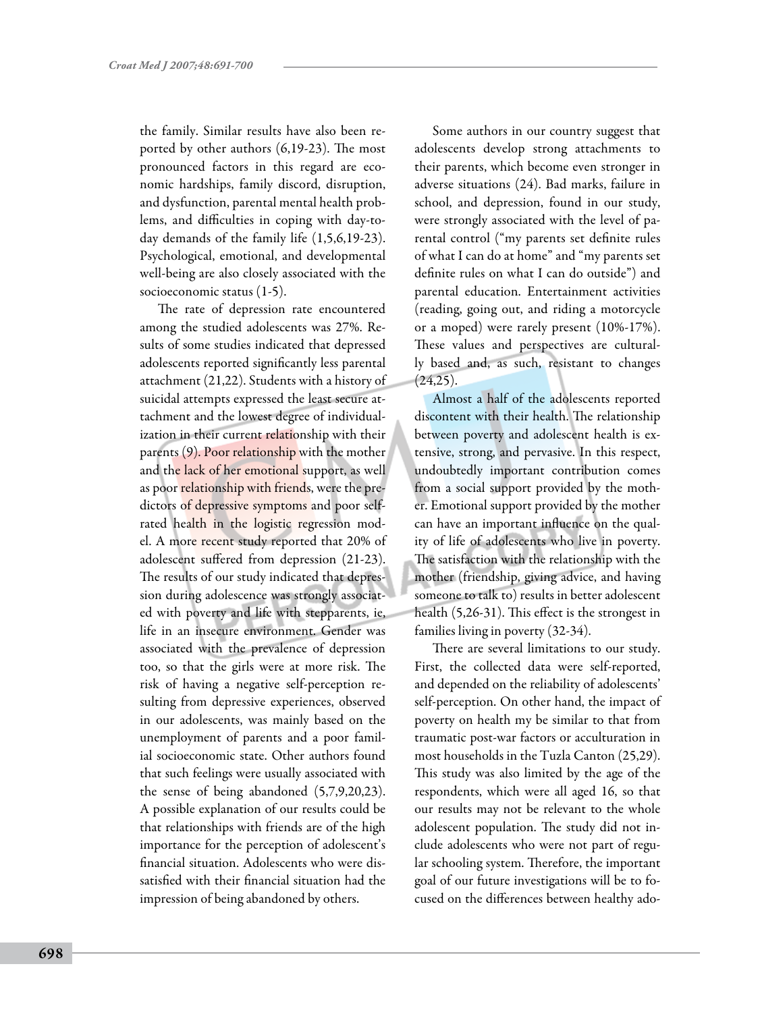the family. Similar results have also been reported by other authors (6,19-23). The most pronounced factors in this regard are economic hardships, family discord, disruption, and dysfunction, parental mental health problems, and difficulties in coping with day-today demands of the family life (1,5,6,19-23). Psychological, emotional, and developmental well-being are also closely associated with the socioeconomic status (1-5).

The rate of depression rate encountered among the studied adolescents was 27%. Results of some studies indicated that depressed adolescents reported significantly less parental attachment (21,22). Students with a history of suicidal attempts expressed the least secure attachment and the lowest degree of individualization in their current relationship with their parents (9). Poor relationship with the mother and the lack of her emotional support, as well as poor relationship with friends, were the predictors of depressive symptoms and poor selfrated health in the logistic regression model. A more recent study reported that 20% of adolescent suffered from depression (21-23). The results of our study indicated that depression during adolescence was strongly associated with poverty and life with stepparents, ie, life in an insecure environment. Gender was associated with the prevalence of depression too, so that the girls were at more risk. The risk of having a negative self-perception resulting from depressive experiences, observed in our adolescents, was mainly based on the unemployment of parents and a poor familial socioeconomic state. Other authors found that such feelings were usually associated with the sense of being abandoned (5,7,9,20,23). A possible explanation of our results could be that relationships with friends are of the high importance for the perception of adolescent's financial situation. Adolescents who were dissatisfied with their financial situation had the impression of being abandoned by others.

Some authors in our country suggest that adolescents develop strong attachments to their parents, which become even stronger in adverse situations (24). Bad marks, failure in school, and depression, found in our study, were strongly associated with the level of parental control ("my parents set definite rules of what I can do at home" and "my parents set definite rules on what I can do outside") and parental education. Entertainment activities (reading, going out, and riding a motorcycle or a moped) were rarely present (10%-17%). These values and perspectives are culturally based and, as such, resistant to changes  $(24,25)$ .

Almost a half of the adolescents reported discontent with their health. The relationship between poverty and adolescent health is extensive, strong, and pervasive. In this respect, undoubtedly important contribution comes from a social support provided by the mother. Emotional support provided by the mother can have an important influence on the quality of life of adolescents who live in poverty. The satisfaction with the relationship with the mother (friendship, giving advice, and having someone to talk to) results in better adolescent health (5,26-31). This effect is the strongest in families living in poverty (32-34).

There are several limitations to our study. First, the collected data were self-reported, and depended on the reliability of adolescents' self-perception. On other hand, the impact of poverty on health my be similar to that from traumatic post-war factors or acculturation in most households in the Tuzla Canton (25,29). This study was also limited by the age of the respondents, which were all aged 16, so that our results may not be relevant to the whole adolescent population. The study did not include adolescents who were not part of regular schooling system. Therefore, the important goal of our future investigations will be to focused on the differences between healthy ado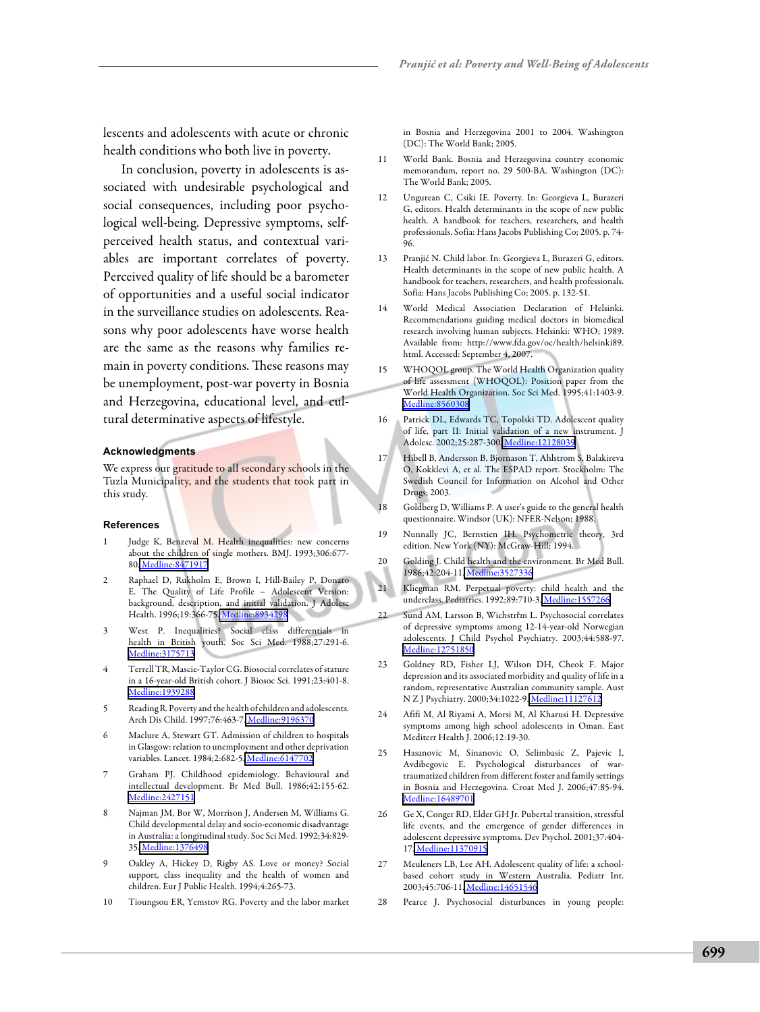lescents and adolescents with acute or chronic health conditions who both live in poverty.

In conclusion, poverty in adolescents is associated with undesirable psychological and social consequences, including poor psychological well-being. Depressive symptoms, selfperceived health status, and contextual variables are important correlates of poverty. Perceived quality of life should be a barometer of opportunities and a useful social indicator in the surveillance studies on adolescents. Reasons why poor adolescents have worse health are the same as the reasons why families remain in poverty conditions. These reasons may be unemployment, post-war poverty in Bosnia and Herzegovina, educational level, and cultural determinative aspects of lifestyle.

#### **Acknowledgments**

We express our gratitude to all secondary schools in the Tuzla Municipality, and the students that took part in this study.

#### **References**

- 1 Judge K, Benzeval M. Health inequalities: new concerns about the children of single mothers. BMJ. 1993;306:677- 80. [Medline:8471917](http://www.ncbi.nlm.nih.gov/sites/entrez?cmd=Retrieve&db=PubMed&list_uids=8471917&dopt=Abstrac)
- 2 Raphael D, Rukholm E, Brown I, Hill-Bailey P, Donato E. The Quality of Life Profile – Adolescent Version: background, description, and initial validation. J Adolesc Health. 1996;19:366-75[. Medline:8934298](http://www.ncbi.nlm.nih.gov/sites/entrez?cmd=Retrieve&db=PubMed&list_uids=8934298&dopt=Abstrac)
- 3 West P. Inequalities? Social class differentials in health in British youth. Soc Sci Med. 1988;27:291-6. [Medline:3175713](http://www.ncbi.nlm.nih.gov/sites/entrez?cmd=Retrieve&db=PubMed&list_uids=3175713&dopt=Abstrac)
- Terrell TR, Mascie-Taylor CG. Biosocial correlates of stature in a 16-year-old British cohort. J Biosoc Sci. 1991;23:401-8. [Medline:1939288](http://www.ncbi.nlm.nih.gov/sites/entrez?cmd=Retrieve&db=PubMed&list_uids=1939288&dopt=Abstrac)
- 5 Reading R. Poverty and the health of children and adolescents. Arch Dis Child. 1997;76:463-7. [Medline:9196370](http://www.ncbi.nlm.nih.gov/sites/entrez?cmd=Retrieve&db=PubMed&list_uids=9196370&dopt=Abstrac)
- Maclure A, Stewart GT. Admission of children to hospitals in Glasgow: relation to unemployment and other deprivation variables. Lancet. 1984;2:682-5. [Medline:6147702](http://www.ncbi.nlm.nih.gov/sites/entrez?cmd=Retrieve&db=PubMed&list_uids=6147702&dopt=Abstrac)
- 7 Graham PJ. Childhood epidemiology. Behavioural and intellectual development. Br Med Bull. 1986;42:155-62. [Medline:2427151](http://www.ncbi.nlm.nih.gov/sites/entrez?cmd=Retrieve&db=PubMed&list_uids=2427151&dopt=Abstrac)
- 8 Najman JM, Bor W, Morrison J, Andersen M, Williams G. Child developmental delay and socio-economic disadvantage in Australia: a longitudinal study. Soc Sci Med. 1992;34:829- 35. [Medline:1376498](http://www.ncbi.nlm.nih.gov/sites/entrez?cmd=Retrieve&db=PubMed&list_uids=1376498&dopt=Abstrac)
- 9 Oakley A, Hickey D, Rigby AS. Love or money? Social support, class inequality and the health of women and children. Eur J Public Health. 1994;4:265-73.
- 10 Tioungsou ER, Yemstov RG. Poverty and the labor market

in Bosnia and Herzegovina 2001 to 2004. Washington (DC): The World Bank; 2005.

- 11 World Bank. Bosnia and Herzegovina country economic memorandum, report no. 29 500-BA. Washington (DC): The World Bank; 2005.
- 12 Ungurean C, Csiki IE. Poverty. In: Georgieva L, Burazeri G, editors. Health determinants in the scope of new public health. A handbook for teachers, researchers, and health professionals. Sofia: Hans Jacobs Publishing Co; 2005. p. 74- 96.
- 13 Pranjić N. Child labor. In: Georgieva L, Burazeri G, editors. Health determinants in the scope of new public health. A handbook for teachers, researchers, and health professionals. Sofia: Hans Jacobs Publishing Co; 2005. p. 132-51.
- 14 World Medical Association Declaration of Helsinki. Recommendations guiding medical doctors in biomedical research involving human subjects. Helsinki: WHO; 1989. Available from: http://www.fda.gov/oc/health/helsinki89. html. Accessed: September 4, 2007.
- 15 WHOQOL group. The World Health Organization quality of life assessment (WHOQOL): Position paper from the World Health Organization. Soc Sci Med. 1995;41:1403-9. [Medline:8560308](http://www.ncbi.nlm.nih.gov/sites/entrez?cmd=Retrieve&db=PubMed&list_uids=8560308&dopt=Abstrac)
- 16 Patrick DL, Edwards TC, Topolski TD. Adolescent quality of life, part II: Initial validation of a new instrument. J Adolesc. 2002;25:287-300. [Medline:12128039](http://www.ncbi.nlm.nih.gov/sites/entrez?cmd=Retrieve&db=PubMed&list_uids=12128039&dopt=Abstrac)
- 17 Hibell B, Andersson B, Bjornason T, Ahlstrom S, Balakireva O, Kokklevi A, et al. The ESPAD report. Stockholm: The Swedish Council for Information on Alcohol and Other Drugs; 2003.
- 18 Goldberg D, Williams P. A user's guide to the general health questionnaire. Windsor (UK): NFER-Nelson; 1988.
- 19 Nunnally JC, Bernstien IH. Psychometric theory, 3rd edition. New York (NY): McGraw-Hill; 1994.
- 20 Golding J. Child health and the environment. Br Med Bull. 1986;42:204-11[. Medline:3527336](http://www.ncbi.nlm.nih.gov/sites/entrez?cmd=Retrieve&db=PubMed&list_uids=3527336&dopt=Abstrac)
- 21 Kliegman RM. Perpetual poverty: child health and the underclass. Pediatrics. 1992;89:710-3. [Medline:1557266](http://www.ncbi.nlm.nih.gov/sites/entrez?cmd=Retrieve&db=PubMed&list_uids=1557266&dopt=Abstrac)
- 22 Sund AM, Larsson B, Wichstrřm L. Psychosocial correlates of depressive symptoms among 12-14-year-old Norwegian adolescents. J Child Psychol Psychiatry. 2003;44:588-97. [Medline:12751850](http://www.ncbi.nlm.nih.gov/sites/entrez?cmd=Retrieve&db=PubMed&list_uids=12751850&dopt=Abstrac)
- 23 Goldney RD, Fisher LJ, Wilson DH, Cheok F. Major depression and its associated morbidity and quality of life in a random, representative Australian community sample. Aust N Z J Psychiatry. 2000;34:1022-9. [Medline:11127612](http://www.ncbi.nlm.nih.gov/sites/entrez?cmd=Retrieve&db=PubMed&list_uids=11127612&dopt=Abstrac)
- 24 Afifi M, Al Riyami A, Morsi M, Al Kharusi H. Depressive symptoms among high school adolescents in Oman. East Mediterr Health J. 2006;12:19-30.
- 25 Hasanovic M, Sinanovic O, Selimbasic Z, Pajevic I, Avdibegovic E. Psychological disturbances of wartraumatized children from different foster and family settings in Bosnia and Herzegovina. Croat Med J. 2006;47:85-94. [Medline:16489701](http://www.ncbi.nlm.nih.gov/sites/entrez?cmd=Retrieve&db=PubMed&list_uids=16489701&dopt=Abstrac)
- 26 Ge X, Conger RD, Elder GH Jr. Pubertal transition, stressful life events, and the emergence of gender differences in adolescent depressive symptoms. Dev Psychol. 2001;37:404- 17[. Medline:11370915](http://www.ncbi.nlm.nih.gov/sites/entrez?cmd=Retrieve&db=PubMed&list_uids=11370915&dopt=Abstrac)
- 27 Meuleners LB, Lee AH. Adolescent quality of life: a schoolbased cohort study in Western Australia. Pediatr Int. 2003;45:706-11[. Medline:14651546](http://www.ncbi.nlm.nih.gov/sites/entrez?cmd=Retrieve&db=PubMed&list_uids=14651546&dopt=Abstrac)
- 28 Pearce J. Psychosocial disturbances in young people: